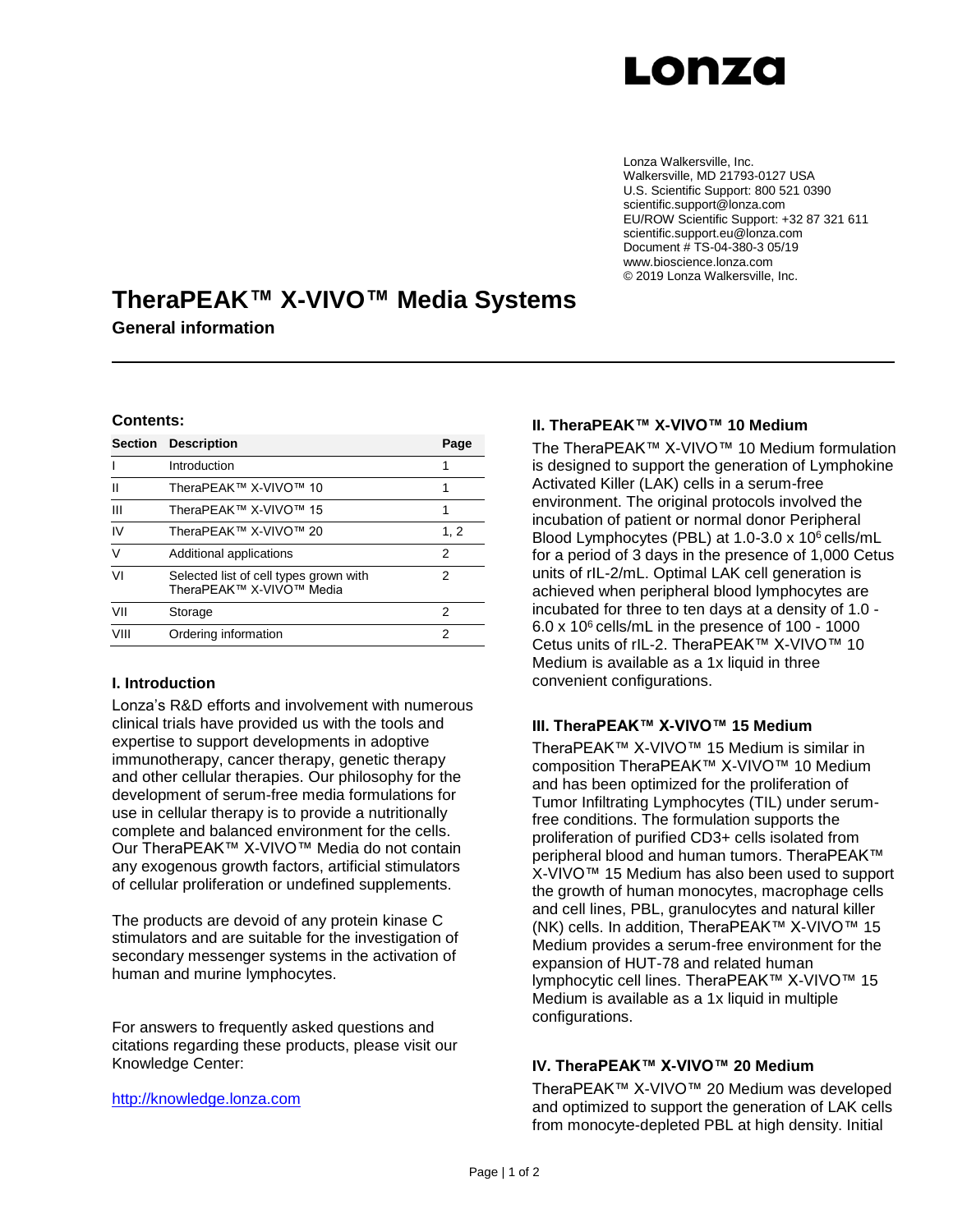

Lonza Walkersville, Inc. Walkersville, MD 21793-0127 USA U.S. Scientific Support: 800 521 0390 scientific.support@lonza.com EU/ROW Scientific Support: +32 87 321 611 scientific.support.eu@lonza.com Document # TS-04-380-3 05/19 www.bioscience.lonza.com © 2019 Lonza Walkersville, Inc.

# **TheraPEAK™ X-VIVO™ Media Systems General information**

#### **Contents:**

| <b>Section</b> | <b>Description</b>                                                 | Page |
|----------------|--------------------------------------------------------------------|------|
|                | Introduction                                                       |      |
| Ш              | TheraPEAK™ X-VIVO™ 10                                              | 1    |
| Ш              | TheraPEAK™ X-VIVO™ 15                                              | 1    |
| IV             | TheraPEAK™ X-VIVO™ 20                                              | 1, 2 |
| $\vee$         | Additional applications                                            | 2    |
| VI             | Selected list of cell types grown with<br>TheraPEAK™ X-VIVO™ Media | 2    |
| VII            | Storage                                                            | 2    |
| VIII           | Ordering information                                               | 2    |

#### **I. Introduction**

Lonza's R&D efforts and involvement with numerous clinical trials have provided us with the tools and expertise to support developments in adoptive immunotherapy, cancer therapy, genetic therapy and other cellular therapies. Our philosophy for the development of serum-free media formulations for use in cellular therapy is to provide a nutritionally complete and balanced environment for the cells. Our TheraPEAK™ X-VIVO™ Media do not contain any exogenous growth factors, artificial stimulators of cellular proliferation or undefined supplements.

The products are devoid of any protein kinase C stimulators and are suitable for the investigation of secondary messenger systems in the activation of human and murine lymphocytes.

For answers to frequently asked questions and citations regarding these products, please visit our Knowledge Center:

### [http://knowledge.lonza.com](http://knowledge.lonza.com/)

## **II. TheraPEAK™ X-VIVO™ 10 Medium**

The TheraPEAK™ X-VIVO™ 10 Medium formulation is designed to support the generation of Lymphokine Activated Killer (LAK) cells in a serum-free environment. The original protocols involved the incubation of patient or normal donor Peripheral Blood Lymphocytes (PBL) at 1.0-3.0 x 10<sup>6</sup> cells/mL for a period of 3 days in the presence of 1,000 Cetus units of rIL-2/mL. Optimal LAK cell generation is achieved when peripheral blood lymphocytes are incubated for three to ten days at a density of 1.0 - 6.0 x 10<sup>6</sup> cells/mL in the presence of 100 - 1000 Cetus units of rIL-2. TheraPEAK™ X-VIVO™ 10 Medium is available as a 1x liquid in three convenient configurations.

#### **III. TheraPEAK™ X-VIVO™ 15 Medium**

TheraPEAK™ X-VIVO™ 15 Medium is similar in composition TheraPEAK™ X-VIVO™ 10 Medium and has been optimized for the proliferation of Tumor Infiltrating Lymphocytes (TIL) under serumfree conditions. The formulation supports the proliferation of purified CD3+ cells isolated from peripheral blood and human tumors. TheraPEAK™ X-VIVO™ 15 Medium has also been used to support the growth of human monocytes, macrophage cells and cell lines, PBL, granulocytes and natural killer (NK) cells. In addition, TheraPEAK™ X-VIVO™ 15 Medium provides a serum-free environment for the expansion of HUT-78 and related human lymphocytic cell lines. TheraPEAK™ X-VIVO™ 15 Medium is available as a 1x liquid in multiple configurations.

#### **IV. TheraPEAK™ X-VIVO™ 20 Medium**

TheraPEAK™ X-VIVO™ 20 Medium was developed and optimized to support the generation of LAK cells from monocyte-depleted PBL at high density. Initial